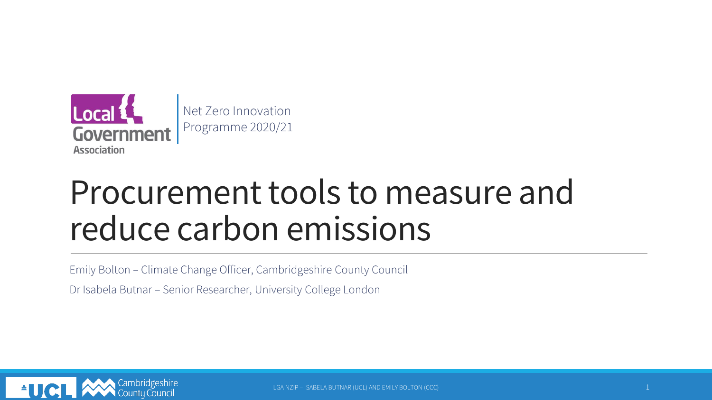

# Procurement tools to measure and reduce carbon emissions

Emily Bolton – Climate Change Officer, Cambridgeshire County Council

Dr Isabela Butnar – Senior Researcher, University College London

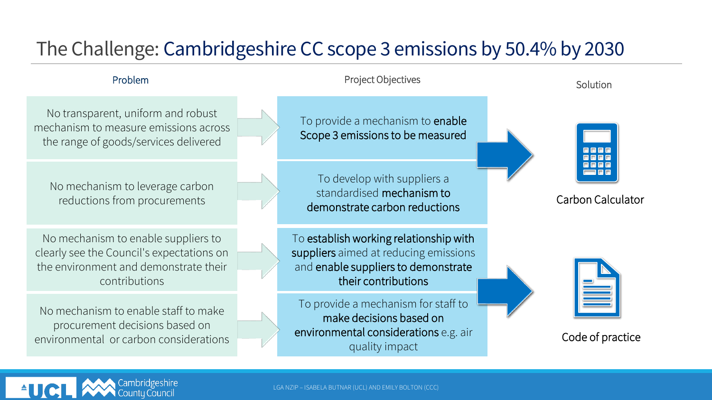## The Challenge: Cambridgeshire CC scope 3 emissions by 50.4% by 2030

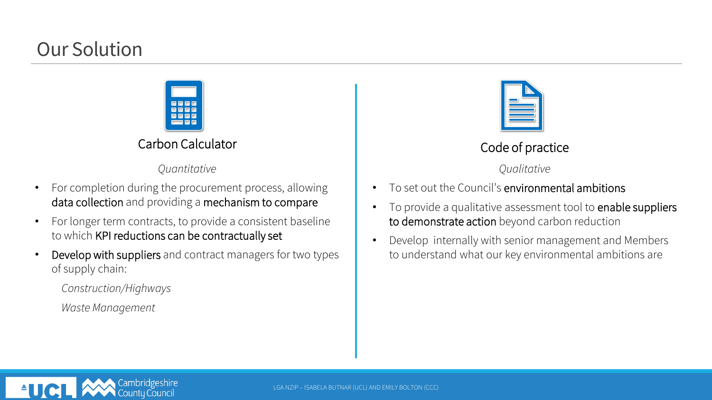### Our Solution



### Carbon Calculator

*Quantitative*

- For completion during the procurement process, allowing data collection and providing a mechanism to compare
- For longer term contracts, to provide a consistent baseline to which KPI reductions can be contractually set
- Develop with suppliers and contract managers for two types of supply chain:
	- *Construction/Highways*
	- *Waste Management*



### Code of practice

*Qualitative*

- To set out the Council's environmental ambitions
- To provide a qualitative assessment tool to enable suppliers to demonstrate action beyond carbon reduction
- Develop internally with senior management and Members to understand what our key environmental ambitions are

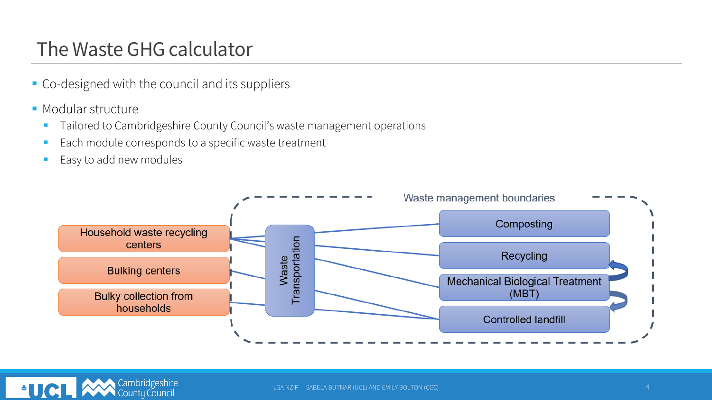### The Waste GHG calculator

- Co-designed with the council and its suppliers
- Modular structure
	- Tailored to Cambridgeshire County Council's waste management operations
	- Each module corresponds to a specific waste treatment
	- Easy to add new modules



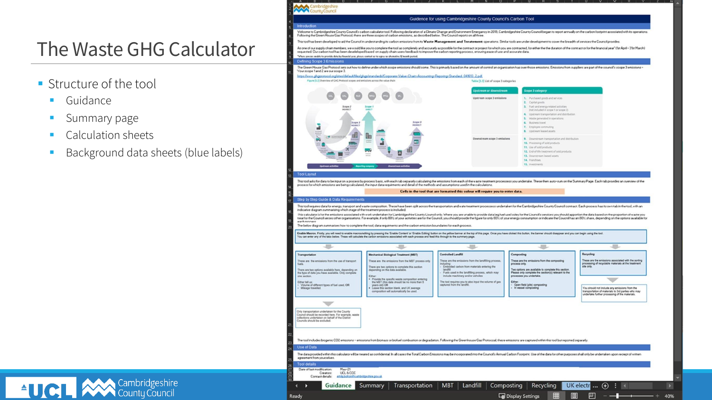### The Waste GHG Calculator

Cambridgeshire

- Structure of the tool
	- Guidance
	- **■** Summary page
	- Calculation sheets

<sup>4</sup> **UCL AN** Cambridgeshire

**Background data sheets (blue labels)** 



| Transportation<br>These are the emissions from the use of transport<br>fuels.<br>There are two options available here, depending on<br>the type of data you have available. Only complete<br>one section.<br>Either tell us:<br>- Volume of different types of fuel used, OR<br>- Mileage travelled. | Mechanical Biological Treatment (MBT)<br>These are the emissions from the MBT process only.<br>There are two options to complete this section<br>depending on the data available.<br>Either:<br>· Provide the specific waste composition entering<br>the MBT (this data should be no more than 5<br>years old) OR<br>. Leave this section blank, and UK average<br>composition will automatically be used. | Controlled Landfill<br>These are the emissions from the landfilling process,<br>including<br>- Embodied carbon from materials entering the<br><b>Isrutility</b><br>Fuels used in the landfilling process, which may<br>include machinery and/or veholes.<br>The tool requires you to also input the volume of gas<br>captured from the landfill. | Composting<br>These are the emissions from the composting<br>process only.<br>Two options are available to complete this section.<br>Please only complete the section(s) relevant to the<br>processes you undertake.<br>Either:<br>- Open field (pile) composting<br>- In vessel composting | Recycling<br>These are the emissions associated with the sorting<br>processing of recyclable materials at the treatment<br>site only.<br>You should not include any emissions from the<br>transportation of materials to 3rd parties who may<br>undertake further processing of the materials. |
|------------------------------------------------------------------------------------------------------------------------------------------------------------------------------------------------------------------------------------------------------------------------------------------------------|------------------------------------------------------------------------------------------------------------------------------------------------------------------------------------------------------------------------------------------------------------------------------------------------------------------------------------------------------------------------------------------------------------|--------------------------------------------------------------------------------------------------------------------------------------------------------------------------------------------------------------------------------------------------------------------------------------------------------------------------------------------------|---------------------------------------------------------------------------------------------------------------------------------------------------------------------------------------------------------------------------------------------------------------------------------------------|------------------------------------------------------------------------------------------------------------------------------------------------------------------------------------------------------------------------------------------------------------------------------------------------|
| Only transportation undertaken for the County<br>Council should be recorded here. For example, waste<br>collections undertaken on behalf of the District<br>Councils should be excluded.                                                                                                             | The tool includes biogenic CD2 emissions - emissions from biomass or biofuel combustion or degradation. Following the Greenhouse Gas Protocoal, these emissions are captured within this tool but reported separatly.                                                                                                                                                                                      |                                                                                                                                                                                                                                                                                                                                                  |                                                                                                                                                                                                                                                                                             |                                                                                                                                                                                                                                                                                                |
| Use of Data                                                                                                                                                                                                                                                                                          |                                                                                                                                                                                                                                                                                                                                                                                                            |                                                                                                                                                                                                                                                                                                                                                  |                                                                                                                                                                                                                                                                                             |                                                                                                                                                                                                                                                                                                |
| agreement from yourselves.<br><b>Tool details</b>                                                                                                                                                                                                                                                    | The data provided within this calculator will be treated as confidential, in all cases the Total Carbon Emissions may be incorporated into the Council's Annual Carbon Footprint. Use of the data for other purposes shall onl                                                                                                                                                                             |                                                                                                                                                                                                                                                                                                                                                  |                                                                                                                                                                                                                                                                                             |                                                                                                                                                                                                                                                                                                |
| $Mav-21$<br>Date of last modification:<br>LICL & CCC<br>Creators:<br>emils bolton@cambridgeshite.gov.uk<br>Contact details:                                                                                                                                                                          |                                                                                                                                                                                                                                                                                                                                                                                                            |                                                                                                                                                                                                                                                                                                                                                  |                                                                                                                                                                                                                                                                                             |                                                                                                                                                                                                                                                                                                |
| Guidance<br>в                                                                                                                                                                                                                                                                                        | Transportation<br>Summary                                                                                                                                                                                                                                                                                                                                                                                  | Landfill<br><b>MBT</b>                                                                                                                                                                                                                                                                                                                           | Recycling<br>Composting                                                                                                                                                                                                                                                                     | UK electr  (+)<br>B.<br>$\sqrt{2}$                                                                                                                                                                                                                                                             |
| sek.                                                                                                                                                                                                                                                                                                 |                                                                                                                                                                                                                                                                                                                                                                                                            |                                                                                                                                                                                                                                                                                                                                                  | m<br>同<br><b>B</b> Dienlay Settings                                                                                                                                                                                                                                                         | m                                                                                                                                                                                                                                                                                              |

40%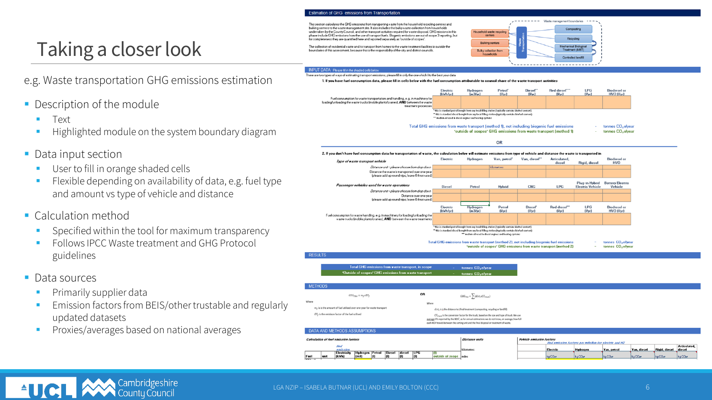#### **Estimation of GHG emissions from Transportation**

This section calculates the GHG emissions from transporting waste from the household recycling centres and bulking centers to the waste management site. It also includes the bulky waste collection from households undertaken by the County Council, and other transport activities required for waste disposal. GHG missions in this phase include GHG emissions from the use of transport fuels. Biogenic emissions are out of scope 3 reporting, but for completeness they are quantified here and reported separately as 'outside of scopes'

The collection of residential waste and its transport from homes to the waste treatment facilities is outside the houndaries of this assessment, he cause this is the responsibility of the oity and district councils



#### INPUT DATA Please fill in the shaded cells belo

There are two types of ways of estimating transport emissions, please fill in only the one which fits the best your data

1. If you have fuel consumption data, please fill in cells below with the fuel consumption attributable to council share of the waste transport activities





**Text** 

■ Description of the module

User to fill in orange shaded cells

Taking a closer look

**EXA** Flexible depending on availability of data, e.g. fuel type and amount vs type of vehicle and distance

Highlighted module on the system boundary diagram

e.g. Waste transportation GHG emissions estimation

- Calculation method
	- Specified within the tool for maximum transparency
	- Follows IPCC Waste treatment and GHG Protocol guidelines
- Data sources

 $\triangle$ UCI

- **•** Primarily supplier data
- Emission factors from BEIS/other trustable and regularly updated datasets
- **•** Proxies/averages based on national averages

Cambridgeshir<br>County Counci



| Calculation of fuel emission factors |           |  |             |                        |   |          | <b>Distance units</b> | <b>Vehicle emission factors</b><br>find emission factors per mile/km for electric and H2 |                        |                      |              |                      |                     |                     |                     |                    |                     |
|--------------------------------------|-----------|--|-------------|------------------------|---|----------|-----------------------|------------------------------------------------------------------------------------------|------------------------|----------------------|--------------|----------------------|---------------------|---------------------|---------------------|--------------------|---------------------|
| emission                             |           |  |             | kilometres             |   | Electric | <b>Hydrogen</b>       | Van, petrol                                                                              | Van, diesel            | Rigid, diesel diesel | Articulated, |                      |                     |                     |                     |                    |                     |
|                                      |           |  | Electricity | Hydrogen Petrol Diesel |   |          | diesel LPG            |                                                                                          |                        |                      |              |                      |                     |                     |                     |                    |                     |
|                                      | Fuel      |  | (kVh)       | (m3)                   | m | m        |                       | lm                                                                                       | outside of scope miles |                      |              | kg CO <sub>t</sub> e | kg CO <sub>25</sub> | kg CO <sub>re</sub> | kg CO <sub>re</sub> | kg CO <sub>2</sub> | kg CO <sub>ze</sub> |
|                                      | $F = 0.1$ |  |             |                        |   |          |                       |                                                                                          |                        |                      |              |                      |                     |                     |                     |                    |                     |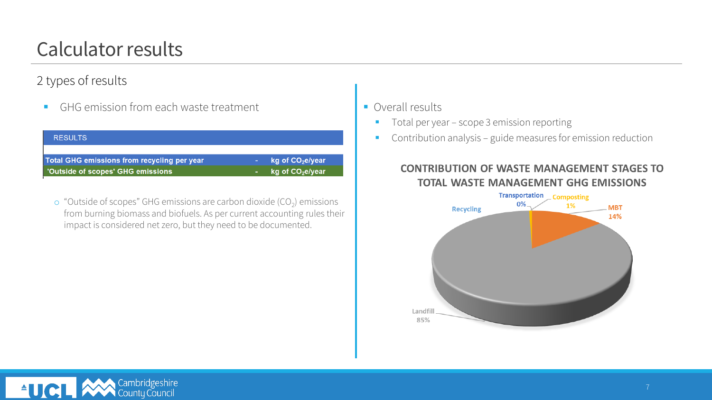# Calculator results

### 2 types of results

■ GHG emission from each waste treatment

| <b>RESULTS</b>                              |                                  |
|---------------------------------------------|----------------------------------|
|                                             |                                  |
| Total GHG emissions from recycling per year | $\log$ of CO <sub>2</sub> e/year |
| 'Outside of scopes' GHG emissions           | kg of $\mathsf{CO}_2$ e/year     |
|                                             |                                  |

 $\circ$  "Outside of scopes" GHG emissions are carbon dioxide (CO<sub>2</sub>) emissions from burning biomass and biofuels. As per current accounting rules their impact is considered net zero, but they need to be documented.

- Overall results
	- Total per year scope 3 emission reporting
	- Contribution analysis guide measures for emission reduction

#### **CONTRIBUTION OF WASTE MANAGEMENT STAGES TO TOTAL WASTE MANAGEMENT GHG EMISSIONS**



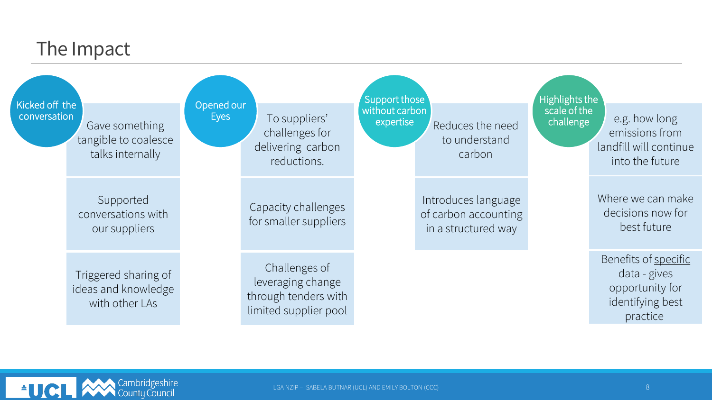### The Impact

Kicked off the

Gave something tangible to coalesce talks internally

Supported conversations with our suppliers

Triggered sharing of ideas and knowledge with other LAs

conversation conversation conversation  $\sim$  Eyes To suppliers' challenges for delivering carbon reductions. Opened our

Eyes

Capacity challenges for smaller suppliers

Challenges of leveraging change through tenders with limited supplier pool

Reduces the need to understand carbon Support those without carbon expertise **expertise** end challenge e.g. how long

> Introduces language of carbon accounting in a structured way

Highlights the scale of the challenge

emissions from landfill will continue into the future

Where we can make decisions now for best future

Benefits of specific data - gives opportunity for identifying best practice

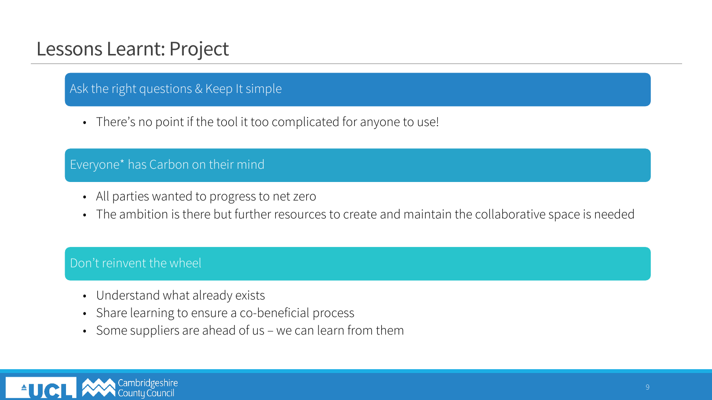### Lessons Learnt: Project

### Ask the right questions & Keep It simple

• There's no point if the tool it too complicated for anyone to use!

#### Everyone\* has Carbon on their mind

- All parties wanted to progress to net zero
- The ambition is there but further resources to create and maintain the collaborative space is needed

#### Don't reinvent the wheel

- Understand what already exists
- Share learning to ensure a co-beneficial process
- Some suppliers are ahead of us we can learn from them

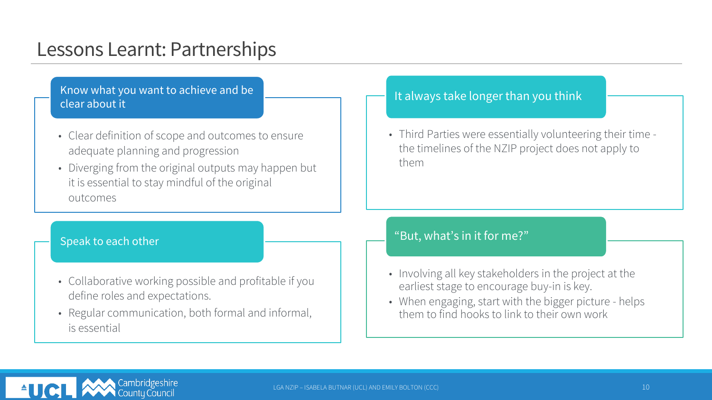### Lessons Learnt: Partnerships

Know what you want to achieve and be clear about it

- Clear definition of scope and outcomes to ensure adequate planning and progression
- Diverging from the original outputs may happen but it is essential to stay mindful of the original outcomes

#### Speak to each other

- Collaborative working possible and profitable if you define roles and expectations.
- Regular communication, both formal and informal, is essential

#### It always take longer than you think

• Third Parties were essentially volunteering their time the timelines of the NZIP project does not apply to them

#### "But, what's in it for me?"

- Involving all key stakeholders in the project at the earliest stage to encourage buy-in is key.
- When engaging, start with the bigger picture helps them to find hooks to link to their own work